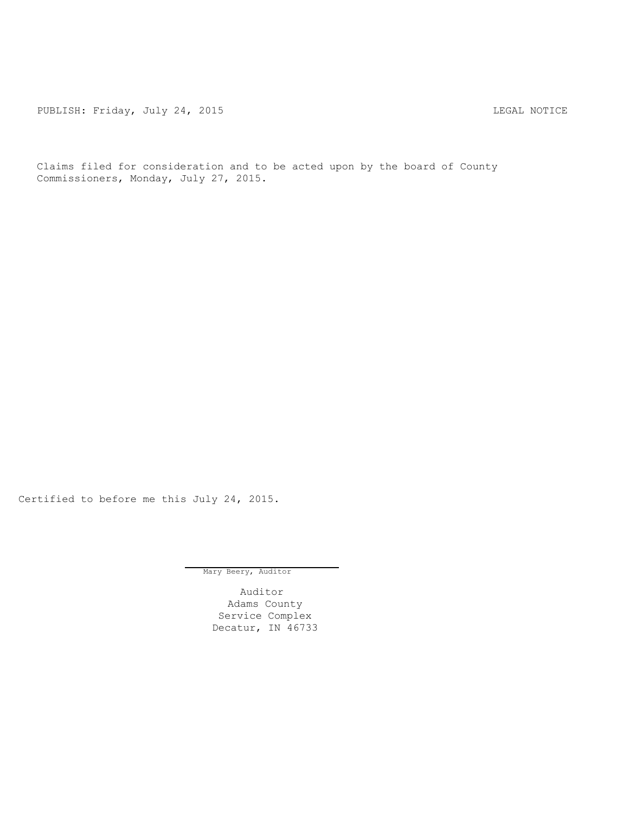PUBLISH: Friday, July 24, 2015 LEGAL NOTICE

Claims filed for consideration and to be acted upon by the board of County Commissioners, Monday, July 27, 2015.

Certified to before me this July 24, 2015.

Mary Beery, Auditor

Auditor Adams County Service Complex Decatur, IN 46733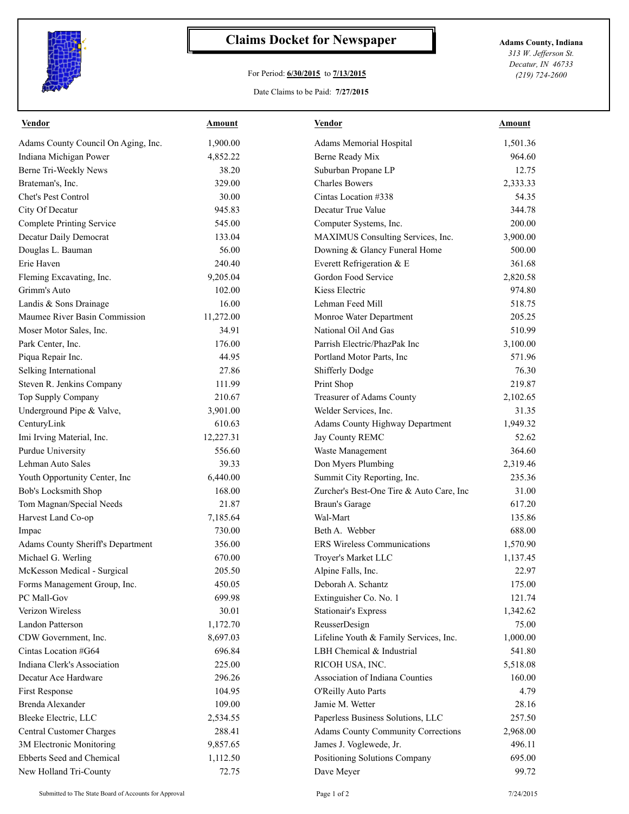

## **Claims Docket for Newspaper Adams County, Indiana**

## For Period: **6/30/2015** to **7/13/2015**

Date Claims to be Paid: **7/27/2015**

*313 W. Jefferson St. Decatur, IN 46733 (219) 724-2600*

| Vendor                              | <b>Amount</b> | <b>Vendor</b>                             | Amount   |
|-------------------------------------|---------------|-------------------------------------------|----------|
| Adams County Council On Aging, Inc. | 1,900.00      | Adams Memorial Hospital                   | 1,501.36 |
| Indiana Michigan Power              | 4,852.22      | Berne Ready Mix                           | 964.60   |
| Berne Tri-Weekly News               | 38.20         | Suburban Propane LP                       | 12.75    |
| Brateman's, Inc.                    | 329.00        | <b>Charles Bowers</b>                     | 2,333.33 |
| Chet's Pest Control                 | 30.00         | Cintas Location #338                      | 54.35    |
| City Of Decatur                     | 945.83        | Decatur True Value                        | 344.78   |
| <b>Complete Printing Service</b>    | 545.00        | Computer Systems, Inc.                    | 200.00   |
| Decatur Daily Democrat              | 133.04        | MAXIMUS Consulting Services, Inc.         | 3,900.00 |
| Douglas L. Bauman                   | 56.00         | Downing & Glancy Funeral Home             | 500.00   |
| Erie Haven                          | 240.40        | Everett Refrigeration & E                 | 361.68   |
| Fleming Excavating, Inc.            | 9,205.04      | Gordon Food Service                       | 2,820.58 |
| Grimm's Auto                        | 102.00        | Kiess Electric                            | 974.80   |
| Landis & Sons Drainage              | 16.00         | Lehman Feed Mill                          | 518.75   |
| Maumee River Basin Commission       | 11,272.00     | Monroe Water Department                   | 205.25   |
| Moser Motor Sales, Inc.             | 34.91         | National Oil And Gas                      | 510.99   |
| Park Center, Inc.                   | 176.00        | Parrish Electric/PhazPak Inc              | 3,100.00 |
| Piqua Repair Inc.                   | 44.95         | Portland Motor Parts, Inc                 | 571.96   |
| Selking International               | 27.86         | Shifferly Dodge                           | 76.30    |
| Steven R. Jenkins Company           | 111.99        | Print Shop                                | 219.87   |
| Top Supply Company                  | 210.67        | Treasurer of Adams County                 | 2,102.65 |
| Underground Pipe & Valve,           | 3,901.00      | Welder Services, Inc.                     | 31.35    |
| CenturyLink                         | 610.63        | <b>Adams County Highway Department</b>    | 1,949.32 |
| Imi Irving Material, Inc.           | 12,227.31     | Jay County REMC                           | 52.62    |
| Purdue University                   | 556.60        | Waste Management                          | 364.60   |
| Lehman Auto Sales                   | 39.33         | Don Myers Plumbing                        | 2,319.46 |
| Youth Opportunity Center, Inc       | 6,440.00      | Summit City Reporting, Inc.               | 235.36   |
| Bob's Locksmith Shop                | 168.00        | Zurcher's Best-One Tire & Auto Care, Inc  | 31.00    |
| Tom Magnan/Special Needs            | 21.87         | <b>Braun's Garage</b>                     | 617.20   |
| Harvest Land Co-op                  | 7,185.64      | Wal-Mart                                  | 135.86   |
| Impac                               | 730.00        | Beth A. Webber                            | 688.00   |
| Adams County Sheriff's Department   | 356.00        | <b>ERS Wireless Communications</b>        | 1,570.90 |
| Michael G. Werling                  | 670.00        | Troyer's Market LLC                       | 1,137.45 |
| McKesson Medical - Surgical         | 205.50        | Alpine Falls, Inc.                        | 22.97    |
| Forms Management Group, Inc.        | 450.05        | Deborah A. Schantz                        | 175.00   |
| PC Mall-Gov                         | 699.98        | Extinguisher Co. No. 1                    | 121.74   |
| Verizon Wireless                    | 30.01         | <b>Stationair's Express</b>               | 1,342.62 |
| Landon Patterson                    | 1,172.70      | ReusserDesign                             | 75.00    |
| CDW Government, Inc.                | 8,697.03      | Lifeline Youth & Family Services, Inc.    | 1,000.00 |
| Cintas Location #G64                | 696.84        | LBH Chemical & Industrial                 | 541.80   |
| Indiana Clerk's Association         | 225.00        | RICOH USA, INC.                           | 5,518.08 |
| Decatur Ace Hardware                | 296.26        | Association of Indiana Counties           | 160.00   |
| First Response                      | 104.95        | O'Reilly Auto Parts                       | 4.79     |
| Brenda Alexander                    | 109.00        | Jamie M. Wetter                           | 28.16    |
| Bleeke Electric, LLC                | 2,534.55      | Paperless Business Solutions, LLC         | 257.50   |
| Central Customer Charges            | 288.41        | <b>Adams County Community Corrections</b> | 2,968.00 |
| 3M Electronic Monitoring            | 9,857.65      | James J. Voglewede, Jr.                   | 496.11   |
| Ebberts Seed and Chemical           | 1,112.50      | Positioning Solutions Company             | 695.00   |
| New Holland Tri-County              | 72.75         | Dave Meyer                                | 99.72    |
|                                     |               |                                           |          |